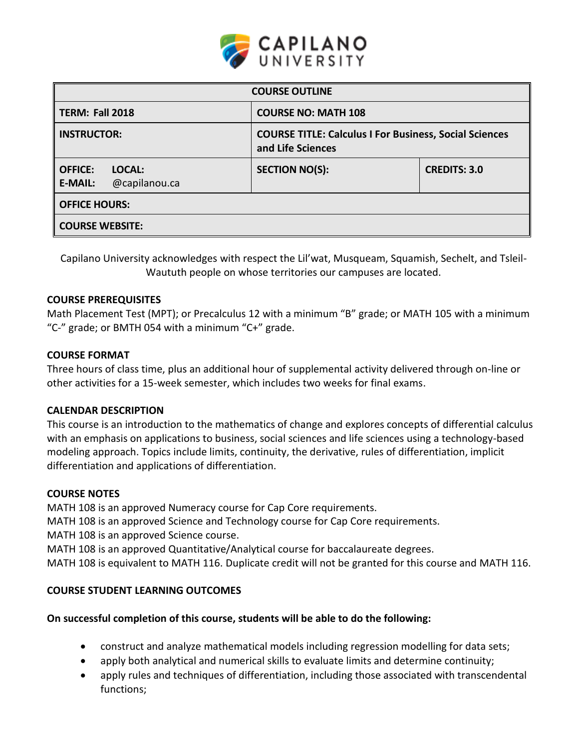

| <b>COURSE OUTLINE</b>                                       |                                                                                    |                     |  |  |
|-------------------------------------------------------------|------------------------------------------------------------------------------------|---------------------|--|--|
| TERM: Fall 2018                                             | <b>COURSE NO: MATH 108</b>                                                         |                     |  |  |
| <b>INSTRUCTOR:</b>                                          | <b>COURSE TITLE: Calculus I For Business, Social Sciences</b><br>and Life Sciences |                     |  |  |
| <b>OFFICE:</b><br>LOCAL:<br>@capilanou.ca<br><b>E-MAIL:</b> | <b>SECTION NO(S):</b>                                                              | <b>CREDITS: 3.0</b> |  |  |
| <b>OFFICE HOURS:</b>                                        |                                                                                    |                     |  |  |
| <b>COURSE WEBSITE:</b>                                      |                                                                                    |                     |  |  |

Capilano University acknowledges with respect the Lil'wat, Musqueam, Squamish, Sechelt, and Tsleil-Waututh people on whose territories our campuses are located.

## **COURSE PREREQUISITES**

Math Placement Test (MPT); or Precalculus 12 with a minimum "B" grade; or MATH 105 with a minimum "C-" grade; or BMTH 054 with a minimum "C+" grade.

#### **COURSE FORMAT**

Three hours of class time, plus an additional hour of supplemental activity delivered through on-line or other activities for a 15-week semester, which includes two weeks for final exams.

## **CALENDAR DESCRIPTION**

This course is an introduction to the mathematics of change and explores concepts of differential calculus with an emphasis on applications to business, social sciences and life sciences using a technology-based modeling approach. Topics include limits, continuity, the derivative, rules of differentiation, implicit differentiation and applications of differentiation.

## **COURSE NOTES**

MATH 108 is an approved Numeracy course for Cap Core requirements. MATH 108 is an approved Science and Technology course for Cap Core requirements. MATH 108 is an approved Science course. MATH 108 is an approved Quantitative/Analytical course for baccalaureate degrees. MATH 108 is equivalent to MATH 116. Duplicate credit will not be granted for this course and MATH 116.

## **COURSE STUDENT LEARNING OUTCOMES**

## **On successful completion of this course, students will be able to do the following:**

- construct and analyze mathematical models including regression modelling for data sets;
- apply both analytical and numerical skills to evaluate limits and determine continuity;
- apply rules and techniques of differentiation, including those associated with transcendental functions;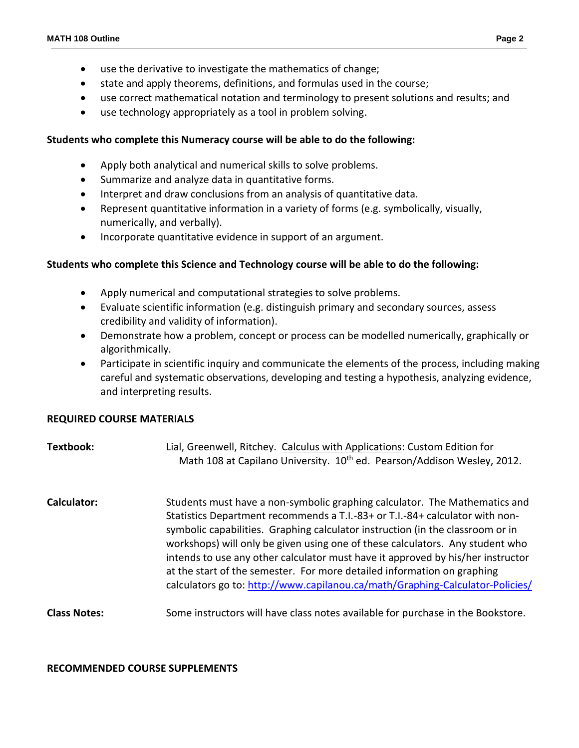- use the derivative to investigate the mathematics of change;
- state and apply theorems, definitions, and formulas used in the course;
- use correct mathematical notation and terminology to present solutions and results; and
- use technology appropriately as a tool in problem solving.

## **Students who complete this Numeracy course will be able to do the following:**

- Apply both analytical and numerical skills to solve problems.
- Summarize and analyze data in quantitative forms.
- Interpret and draw conclusions from an analysis of quantitative data.
- Represent quantitative information in a variety of forms (e.g. symbolically, visually, numerically, and verbally).
- Incorporate quantitative evidence in support of an argument.

## **Students who complete this Science and Technology course will be able to do the following:**

- Apply numerical and computational strategies to solve problems.
- Evaluate scientific information (e.g. distinguish primary and secondary sources, assess credibility and validity of information).
- Demonstrate how a problem, concept or process can be modelled numerically, graphically or algorithmically.
- Participate in scientific inquiry and communicate the elements of the process, including making careful and systematic observations, developing and testing a hypothesis, analyzing evidence, and interpreting results.

## **REQUIRED COURSE MATERIALS**

# **Textbook:** Lial, Greenwell, Ritchey. Calculus with Applications: Custom Edition for Math 108 at Capilano University. 10<sup>th</sup> ed. Pearson/Addison Wesley, 2012. **Calculator:** Students must have a non-symbolic graphing calculator. The Mathematics and Statistics Department recommends a T.I.-83+ or T.I.-84+ calculator with nonsymbolic capabilities. Graphing calculator instruction (in the classroom or in workshops) will only be given using one of these calculators. Any student who intends to use any other calculator must have it approved by his/her instructor at the start of the semester. For more detailed information on graphing calculators go to:<http://www.capilanou.ca/math/Graphing-Calculator-Policies/> **Class Notes:** Some instructors will have class notes available for purchase in the Bookstore.

#### **RECOMMENDED COURSE SUPPLEMENTS**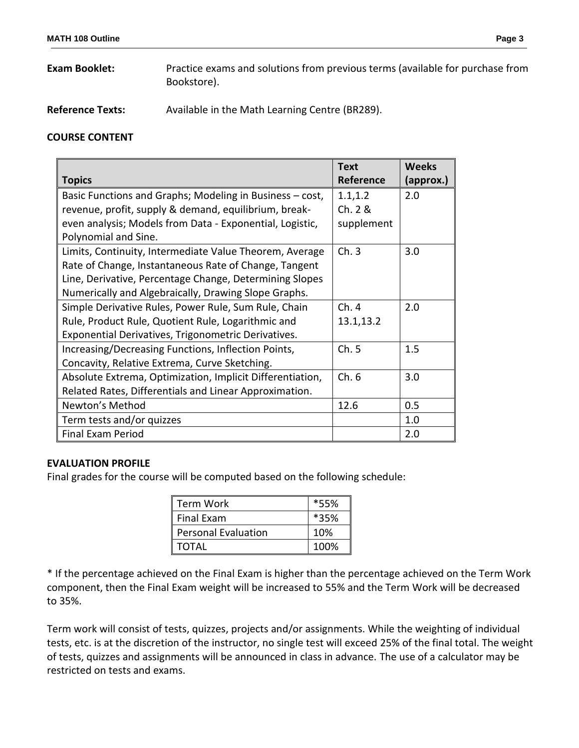- **Exam Booklet:** Practice exams and solutions from previous terms (available for purchase from Bookstore).
- **Reference Texts:** Available in the Math Learning Centre (BR289).

## **COURSE CONTENT**

| <b>Topics</b>                                             | <b>Text</b><br>Reference | <b>Weeks</b><br>(approx.) |
|-----------------------------------------------------------|--------------------------|---------------------------|
| Basic Functions and Graphs; Modeling in Business - cost,  | 1.1, 1.2                 | 2.0                       |
| revenue, profit, supply & demand, equilibrium, break-     | Ch. 2 &                  |                           |
| even analysis; Models from Data - Exponential, Logistic,  | supplement               |                           |
| Polynomial and Sine.                                      |                          |                           |
| Limits, Continuity, Intermediate Value Theorem, Average   | Ch.3                     | 3.0                       |
| Rate of Change, Instantaneous Rate of Change, Tangent     |                          |                           |
| Line, Derivative, Percentage Change, Determining Slopes   |                          |                           |
| Numerically and Algebraically, Drawing Slope Graphs.      |                          |                           |
| Simple Derivative Rules, Power Rule, Sum Rule, Chain      | Ch.4                     | 2.0                       |
| Rule, Product Rule, Quotient Rule, Logarithmic and        | 13.1,13.2                |                           |
| Exponential Derivatives, Trigonometric Derivatives.       |                          |                           |
| Increasing/Decreasing Functions, Inflection Points,       | Ch.5                     | 1.5                       |
| Concavity, Relative Extrema, Curve Sketching.             |                          |                           |
| Absolute Extrema, Optimization, Implicit Differentiation, | Ch.6                     | 3.0                       |
| Related Rates, Differentials and Linear Approximation.    |                          |                           |
| Newton's Method                                           | 12.6                     | 0.5                       |
| Term tests and/or quizzes                                 |                          | 1.0                       |
| <b>Final Exam Period</b>                                  |                          | 2.0                       |

## **EVALUATION PROFILE**

Final grades for the course will be computed based on the following schedule:

| <b>Term Work</b>           | *55% |  |
|----------------------------|------|--|
| <b>Final Exam</b>          | *35% |  |
| <b>Personal Evaluation</b> | 10%  |  |
| <b>TOTAL</b>               | 100% |  |

\* If the percentage achieved on the Final Exam is higher than the percentage achieved on the Term Work component, then the Final Exam weight will be increased to 55% and the Term Work will be decreased to 35%.

Term work will consist of tests, quizzes, projects and/or assignments. While the weighting of individual tests, etc. is at the discretion of the instructor, no single test will exceed 25% of the final total. The weight of tests, quizzes and assignments will be announced in class in advance. The use of a calculator may be restricted on tests and exams.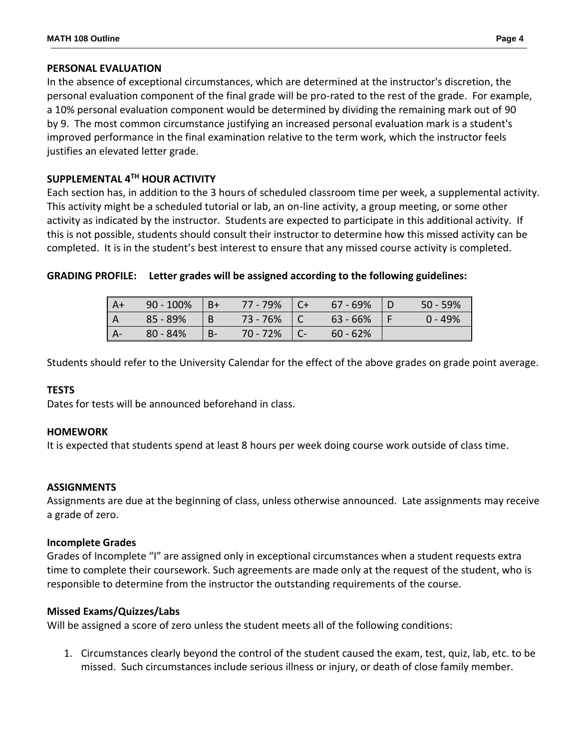### **PERSONAL EVALUATION**

In the absence of exceptional circumstances, which are determined at the instructor's discretion, the personal evaluation component of the final grade will be pro-rated to the rest of the grade. For example, a 10% personal evaluation component would be determined by dividing the remaining mark out of 90 by 9. The most common circumstance justifying an increased personal evaluation mark is a student's improved performance in the final examination relative to the term work, which the instructor feels justifies an elevated letter grade.

# **SUPPLEMENTAL 4TH HOUR ACTIVITY**

Each section has, in addition to the 3 hours of scheduled classroom time per week, a supplemental activity. This activity might be a scheduled tutorial or lab, an on-line activity, a group meeting, or some other activity as indicated by the instructor. Students are expected to participate in this additional activity. If this is not possible, students should consult their instructor to determine how this missed activity can be completed. It is in the student's best interest to ensure that any missed course activity is completed.

|  |  |  |  | GRADING PROFILE: Letter grades will be assigned according to the following guidelines: |
|--|--|--|--|----------------------------------------------------------------------------------------|
|--|--|--|--|----------------------------------------------------------------------------------------|

| $A+$ | $90 - 100\%$ | $ B+$ | 77 - 79% | $\overline{C}$ | 67 - 69%   | $50 - 59%$ |
|------|--------------|-------|----------|----------------|------------|------------|
|      | 85 - 89%     | l B   | 73 - 76% |                | $63 - 66%$ | $0 - 49%$  |
|      | $80 - 84%$   | $B-$  | 70 - 72% | $\overline{C}$ | $60 - 62%$ |            |

Students should refer to the University Calendar for the effect of the above grades on grade point average.

## **TESTS**

Dates for tests will be announced beforehand in class.

#### **HOMEWORK**

It is expected that students spend at least 8 hours per week doing course work outside of class time.

#### **ASSIGNMENTS**

Assignments are due at the beginning of class, unless otherwise announced. Late assignments may receive a grade of zero.

#### **Incomplete Grades**

Grades of Incomplete "I" are assigned only in exceptional circumstances when a student requests extra time to complete their coursework. Such agreements are made only at the request of the student, who is responsible to determine from the instructor the outstanding requirements of the course.

## **Missed Exams/Quizzes/Labs**

Will be assigned a score of zero unless the student meets all of the following conditions:

1. Circumstances clearly beyond the control of the student caused the exam, test, quiz, lab, etc. to be missed. Such circumstances include serious illness or injury, or death of close family member.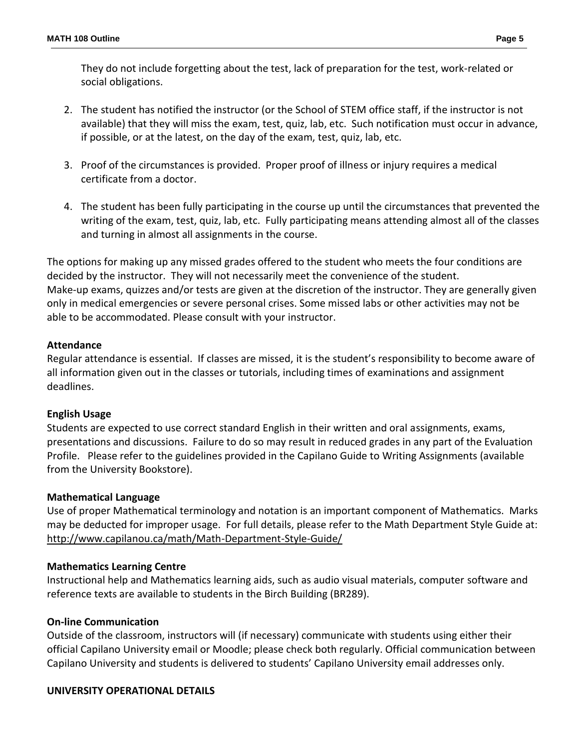They do not include forgetting about the test, lack of preparation for the test, work-related or social obligations.

- 2. The student has notified the instructor (or the School of STEM office staff, if the instructor is not available) that they will miss the exam, test, quiz, lab, etc. Such notification must occur in advance, if possible, or at the latest, on the day of the exam, test, quiz, lab, etc.
- 3. Proof of the circumstances is provided. Proper proof of illness or injury requires a medical certificate from a doctor.
- 4. The student has been fully participating in the course up until the circumstances that prevented the writing of the exam, test, quiz, lab, etc. Fully participating means attending almost all of the classes and turning in almost all assignments in the course.

The options for making up any missed grades offered to the student who meets the four conditions are decided by the instructor. They will not necessarily meet the convenience of the student. Make-up exams, quizzes and/or tests are given at the discretion of the instructor. They are generally given only in medical emergencies or severe personal crises. Some missed labs or other activities may not be able to be accommodated. Please consult with your instructor.

# **Attendance**

Regular attendance is essential. If classes are missed, it is the student's responsibility to become aware of all information given out in the classes or tutorials, including times of examinations and assignment deadlines.

## **English Usage**

Students are expected to use correct standard English in their written and oral assignments, exams, presentations and discussions. Failure to do so may result in reduced grades in any part of the Evaluation Profile. Please refer to the guidelines provided in the Capilano Guide to Writing Assignments (available from the University Bookstore).

## **Mathematical Language**

Use of proper Mathematical terminology and notation is an important component of Mathematics. Marks may be deducted for improper usage. For full details, please refer to the Math Department Style Guide at: <http://www.capilanou.ca/math/Math-Department-Style-Guide/>

## **Mathematics Learning Centre**

Instructional help and Mathematics learning aids, such as audio visual materials, computer software and reference texts are available to students in the Birch Building (BR289).

## **On-line Communication**

Outside of the classroom, instructors will (if necessary) communicate with students using either their official Capilano University email or Moodle; please check both regularly. Official communication between Capilano University and students is delivered to students' Capilano University email addresses only.

## **UNIVERSITY OPERATIONAL DETAILS**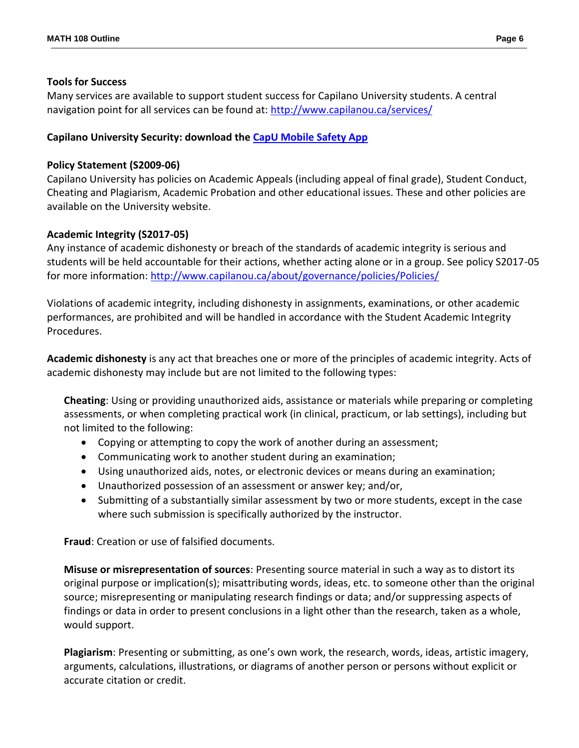#### **Tools for Success**

Many services are available to support student success for Capilano University students. A central navigation point for all services can be found at:<http://www.capilanou.ca/services/>

# **Capilano University Security: download the [CapU Mobile Safety App](https://www.capilanou.ca/services/safety-security/CapU-Mobile-Safety-App/)**

## **Policy Statement (S2009-06)**

Capilano University has policies on Academic Appeals (including appeal of final grade), Student Conduct, Cheating and Plagiarism, Academic Probation and other educational issues. These and other policies are available on the University website.

## **Academic Integrity (S2017-05)**

Any instance of academic dishonesty or breach of the standards of academic integrity is serious and students will be held accountable for their actions, whether acting alone or in a group. See policy S2017-05 for more information:<http://www.capilanou.ca/about/governance/policies/Policies/>

Violations of academic integrity, including dishonesty in assignments, examinations, or other academic performances, are prohibited and will be handled in accordance with the Student Academic Integrity Procedures.

**Academic dishonesty** is any act that breaches one or more of the principles of academic integrity. Acts of academic dishonesty may include but are not limited to the following types:

**Cheating**: Using or providing unauthorized aids, assistance or materials while preparing or completing assessments, or when completing practical work (in clinical, practicum, or lab settings), including but not limited to the following:

- Copying or attempting to copy the work of another during an assessment;
- Communicating work to another student during an examination;
- Using unauthorized aids, notes, or electronic devices or means during an examination;
- Unauthorized possession of an assessment or answer key; and/or,
- Submitting of a substantially similar assessment by two or more students, except in the case where such submission is specifically authorized by the instructor.

**Fraud**: Creation or use of falsified documents.

**Misuse or misrepresentation of sources**: Presenting source material in such a way as to distort its original purpose or implication(s); misattributing words, ideas, etc. to someone other than the original source; misrepresenting or manipulating research findings or data; and/or suppressing aspects of findings or data in order to present conclusions in a light other than the research, taken as a whole, would support.

**Plagiarism**: Presenting or submitting, as one's own work, the research, words, ideas, artistic imagery, arguments, calculations, illustrations, or diagrams of another person or persons without explicit or accurate citation or credit.